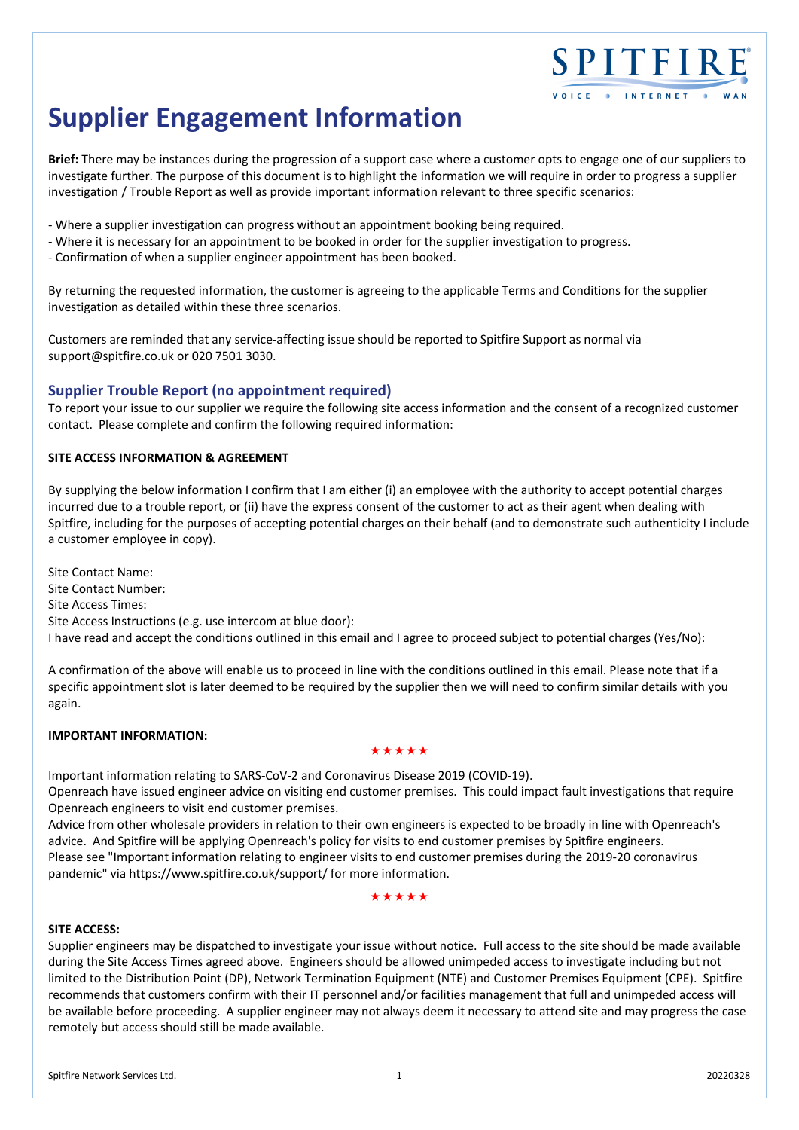# **Supplier Engagement Information**

**Brief:** There may be instances during the progression of a support case where a customer opts to engage one of our suppliers to investigate further. The purpose of this document is to highlight the information we will require in order to progress a supplier investigation / Trouble Report as well as provide important information relevant to three specific scenarios:

SPITFIRE

VOICE . INTERNET

- ‐ Where a supplier investigation can progress without an appointment booking being required.
- ‐ Where it is necessary for an appointment to be booked in order for the supplier investigation to progress.
- ‐ Confirmation of when a supplier engineer appointment has been booked.

By returning the requested information, the customer is agreeing to the applicable Terms and Conditions for the supplier investigation as detailed within these three scenarios.

Customers are reminded that any service‐affecting issue should be reported to Spitfire Support as normal via support@spitfire.co.uk or 020 7501 3030.

# **Supplier Trouble Report (no appointment required)**

To report your issue to our supplier we require the following site access information and the consent of a recognized customer contact. Please complete and confirm the following required information:

# **SITE ACCESS INFORMATION & AGREEMENT**

By supplying the below information I confirm that I am either (i) an employee with the authority to accept potential charges incurred due to a trouble report, or (ii) have the express consent of the customer to act as their agent when dealing with Spitfire, including for the purposes of accepting potential charges on their behalf (and to demonstrate such authenticity I include a customer employee in copy).

Site Contact Name: Site Contact Number: Site Access Times: Site Access Instructions (e.g. use intercom at blue door): I have read and accept the conditions outlined in this email and I agree to proceed subject to potential charges (Yes/No):

A confirmation of the above will enable us to proceed in line with the conditions outlined in this email. Please note that if a specific appointment slot is later deemed to be required by the supplier then we will need to confirm similar details with you again.

# **IMPORTANT INFORMATION:**

#### \*\*\*\*\*

Important information relating to SARS‐CoV‐2 and Coronavirus Disease 2019 (COVID‐19).

Openreach have issued engineer advice on visiting end customer premises. This could impact fault investigations that require Openreach engineers to visit end customer premises.

Advice from other wholesale providers in relation to their own engineers is expected to be broadly in line with Openreach's advice. And Spitfire will be applying Openreach's policy for visits to end customer premises by Spitfire engineers. Please see "Important information relating to engineer visits to end customer premises during the 2019‐20 coronavirus pandemic" via https://www.spitfire.co.uk/support/ for more information.

\*\*\*\*\*

# **SITE ACCESS:**

Supplier engineers may be dispatched to investigate your issue without notice. Full access to the site should be made available during the Site Access Times agreed above. Engineers should be allowed unimpeded access to investigate including but not limited to the Distribution Point (DP), Network Termination Equipment (NTE) and Customer Premises Equipment (CPE). Spitfire recommends that customers confirm with their IT personnel and/or facilities management that full and unimpeded access will be available before proceeding. A supplier engineer may not always deem it necessary to attend site and may progress the case remotely but access should still be made available.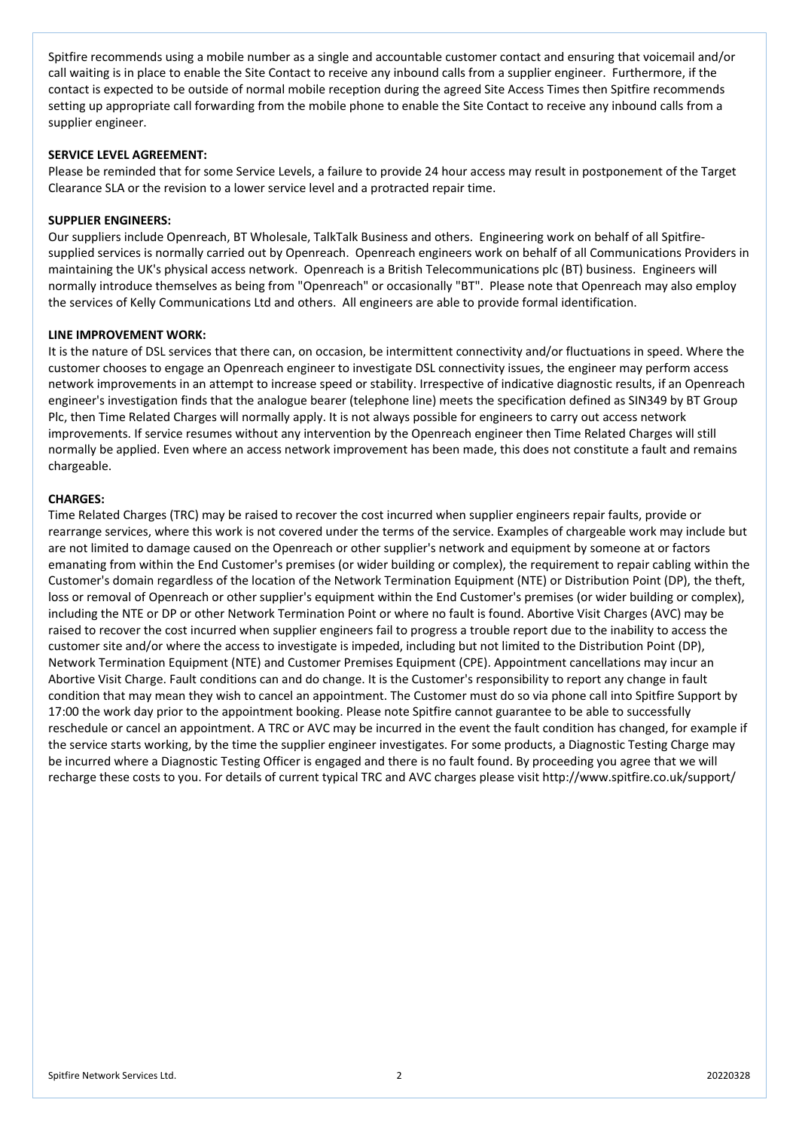Spitfire recommends using a mobile number as a single and accountable customer contact and ensuring that voicemail and/or call waiting is in place to enable the Site Contact to receive any inbound calls from a supplier engineer. Furthermore, if the contact is expected to be outside of normal mobile reception during the agreed Site Access Times then Spitfire recommends setting up appropriate call forwarding from the mobile phone to enable the Site Contact to receive any inbound calls from a supplier engineer.

## **SERVICE LEVEL AGREEMENT:**

Please be reminded that for some Service Levels, a failure to provide 24 hour access may result in postponement of the Target Clearance SLA or the revision to a lower service level and a protracted repair time.

# **SUPPLIER ENGINEERS:**

Our suppliers include Openreach, BT Wholesale, TalkTalk Business and others. Engineering work on behalf of all Spitfire‐ supplied services is normally carried out by Openreach. Openreach engineers work on behalf of all Communications Providers in maintaining the UK's physical access network. Openreach is a British Telecommunications plc (BT) business. Engineers will normally introduce themselves as being from "Openreach" or occasionally "BT". Please note that Openreach may also employ the services of Kelly Communications Ltd and others. All engineers are able to provide formal identification.

#### **LINE IMPROVEMENT WORK:**

It is the nature of DSL services that there can, on occasion, be intermittent connectivity and/or fluctuations in speed. Where the customer chooses to engage an Openreach engineer to investigate DSL connectivity issues, the engineer may perform access network improvements in an attempt to increase speed or stability. Irrespective of indicative diagnostic results, if an Openreach engineer's investigation finds that the analogue bearer (telephone line) meets the specification defined as SIN349 by BT Group Plc, then Time Related Charges will normally apply. It is not always possible for engineers to carry out access network improvements. If service resumes without any intervention by the Openreach engineer then Time Related Charges will still normally be applied. Even where an access network improvement has been made, this does not constitute a fault and remains chargeable.

#### **CHARGES:**

Time Related Charges (TRC) may be raised to recover the cost incurred when supplier engineers repair faults, provide or rearrange services, where this work is not covered under the terms of the service. Examples of chargeable work may include but are not limited to damage caused on the Openreach or other supplier's network and equipment by someone at or factors emanating from within the End Customer's premises (or wider building or complex), the requirement to repair cabling within the Customer's domain regardless of the location of the Network Termination Equipment (NTE) or Distribution Point (DP), the theft, loss or removal of Openreach or other supplier's equipment within the End Customer's premises (or wider building or complex), including the NTE or DP or other Network Termination Point or where no fault is found. Abortive Visit Charges (AVC) may be raised to recover the cost incurred when supplier engineers fail to progress a trouble report due to the inability to access the customer site and/or where the access to investigate is impeded, including but not limited to the Distribution Point (DP), Network Termination Equipment (NTE) and Customer Premises Equipment (CPE). Appointment cancellations may incur an Abortive Visit Charge. Fault conditions can and do change. It is the Customer's responsibility to report any change in fault condition that may mean they wish to cancel an appointment. The Customer must do so via phone call into Spitfire Support by 17:00 the work day prior to the appointment booking. Please note Spitfire cannot guarantee to be able to successfully reschedule or cancel an appointment. A TRC or AVC may be incurred in the event the fault condition has changed, for example if the service starts working, by the time the supplier engineer investigates. For some products, a Diagnostic Testing Charge may be incurred where a Diagnostic Testing Officer is engaged and there is no fault found. By proceeding you agree that we will recharge these costs to you. For details of current typical TRC and AVC charges please visit http://www.spitfire.co.uk/support/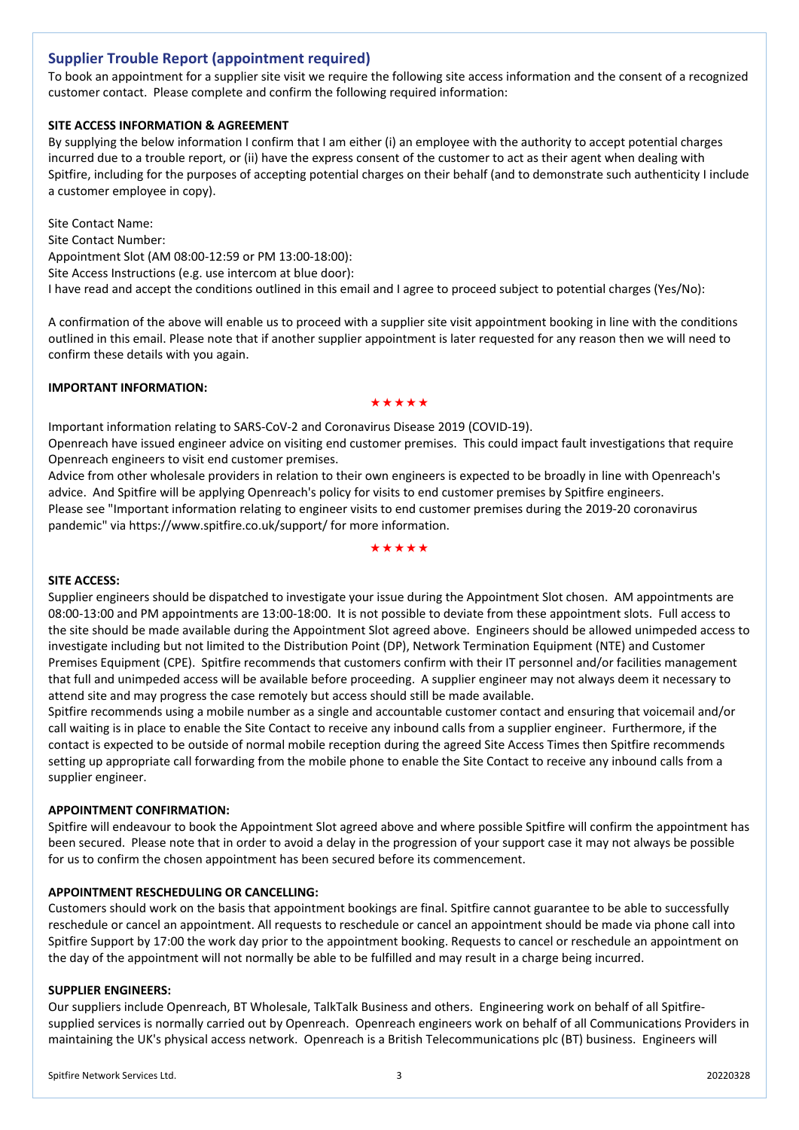# **Supplier Trouble Report (appointment required)**

To book an appointment for a supplier site visit we require the following site access information and the consent of a recognized customer contact. Please complete and confirm the following required information:

# **SITE ACCESS INFORMATION & AGREEMENT**

By supplying the below information I confirm that I am either (i) an employee with the authority to accept potential charges incurred due to a trouble report, or (ii) have the express consent of the customer to act as their agent when dealing with Spitfire, including for the purposes of accepting potential charges on their behalf (and to demonstrate such authenticity I include a customer employee in copy).

Site Contact Name: Site Contact Number: Appointment Slot (AM 08:00‐12:59 or PM 13:00‐18:00): Site Access Instructions (e.g. use intercom at blue door): I have read and accept the conditions outlined in this email and I agree to proceed subject to potential charges (Yes/No):

A confirmation of the above will enable us to proceed with a supplier site visit appointment booking in line with the conditions outlined in this email. Please note that if another supplier appointment is later requested for any reason then we will need to confirm these details with you again.

# **IMPORTANT INFORMATION:**

#### \*\*\*\*\*

Important information relating to SARS‐CoV‐2 and Coronavirus Disease 2019 (COVID‐19). Openreach have issued engineer advice on visiting end customer premises. This could impact fault investigations that require Openreach engineers to visit end customer premises.

Advice from other wholesale providers in relation to their own engineers is expected to be broadly in line with Openreach's advice. And Spitfire will be applying Openreach's policy for visits to end customer premises by Spitfire engineers. Please see "Important information relating to engineer visits to end customer premises during the 2019‐20 coronavirus pandemic" via https://www.spitfire.co.uk/support/ for more information.

\*\*\*\*\*

# **SITE ACCESS:**

Supplier engineers should be dispatched to investigate your issue during the Appointment Slot chosen. AM appointments are 08:00‐13:00 and PM appointments are 13:00‐18:00. It is not possible to deviate from these appointment slots. Full access to the site should be made available during the Appointment Slot agreed above. Engineers should be allowed unimpeded access to investigate including but not limited to the Distribution Point (DP), Network Termination Equipment (NTE) and Customer Premises Equipment (CPE). Spitfire recommends that customers confirm with their IT personnel and/or facilities management that full and unimpeded access will be available before proceeding. A supplier engineer may not always deem it necessary to attend site and may progress the case remotely but access should still be made available.

Spitfire recommends using a mobile number as a single and accountable customer contact and ensuring that voicemail and/or call waiting is in place to enable the Site Contact to receive any inbound calls from a supplier engineer. Furthermore, if the contact is expected to be outside of normal mobile reception during the agreed Site Access Times then Spitfire recommends setting up appropriate call forwarding from the mobile phone to enable the Site Contact to receive any inbound calls from a supplier engineer.

#### **APPOINTMENT CONFIRMATION:**

Spitfire will endeavour to book the Appointment Slot agreed above and where possible Spitfire will confirm the appointment has been secured. Please note that in order to avoid a delay in the progression of your support case it may not always be possible for us to confirm the chosen appointment has been secured before its commencement.

#### **APPOINTMENT RESCHEDULING OR CANCELLING:**

Customers should work on the basis that appointment bookings are final. Spitfire cannot guarantee to be able to successfully reschedule or cancel an appointment. All requests to reschedule or cancel an appointment should be made via phone call into Spitfire Support by 17:00 the work day prior to the appointment booking. Requests to cancel or reschedule an appointment on the day of the appointment will not normally be able to be fulfilled and may result in a charge being incurred.

#### **SUPPLIER ENGINEERS:**

Our suppliers include Openreach, BT Wholesale, TalkTalk Business and others. Engineering work on behalf of all Spitfire‐ supplied services is normally carried out by Openreach. Openreach engineers work on behalf of all Communications Providers in maintaining the UK's physical access network. Openreach is a British Telecommunications plc (BT) business. Engineers will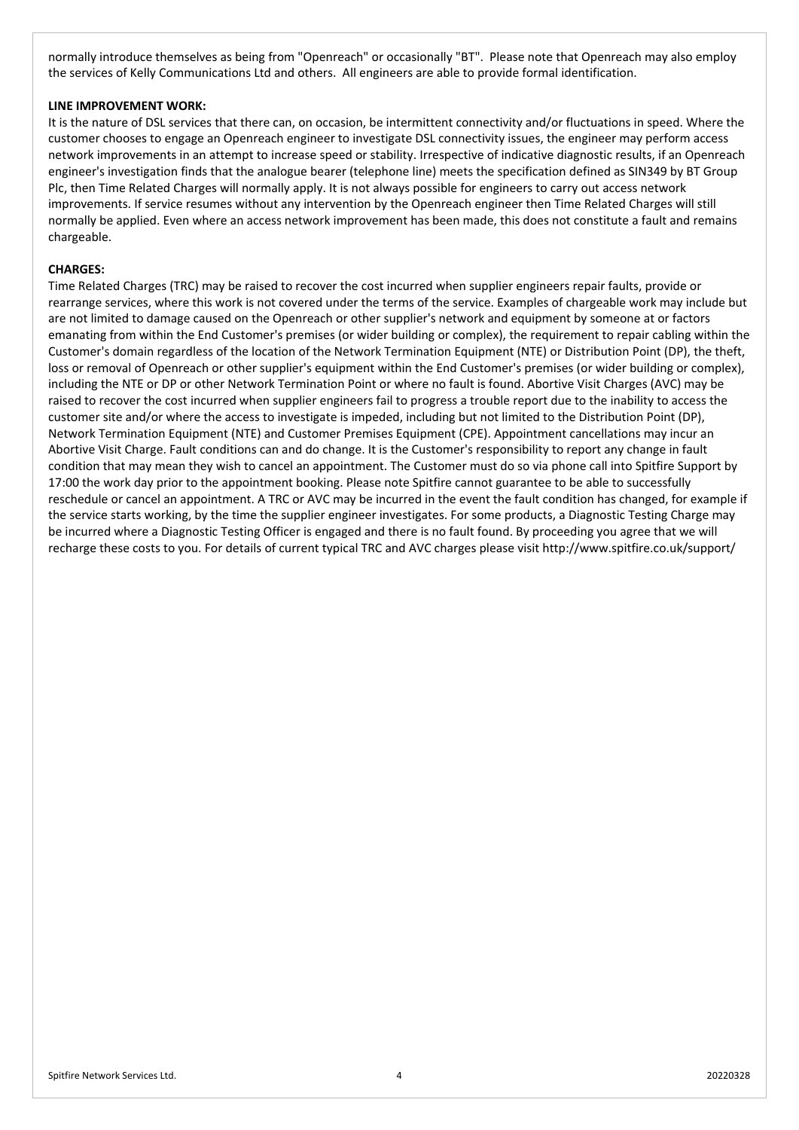normally introduce themselves as being from "Openreach" or occasionally "BT". Please note that Openreach may also employ the services of Kelly Communications Ltd and others. All engineers are able to provide formal identification.

## **LINE IMPROVEMENT WORK:**

It is the nature of DSL services that there can, on occasion, be intermittent connectivity and/or fluctuations in speed. Where the customer chooses to engage an Openreach engineer to investigate DSL connectivity issues, the engineer may perform access network improvements in an attempt to increase speed or stability. Irrespective of indicative diagnostic results, if an Openreach engineer's investigation finds that the analogue bearer (telephone line) meets the specification defined as SIN349 by BT Group Plc, then Time Related Charges will normally apply. It is not always possible for engineers to carry out access network improvements. If service resumes without any intervention by the Openreach engineer then Time Related Charges will still normally be applied. Even where an access network improvement has been made, this does not constitute a fault and remains chargeable.

## **CHARGES:**

Time Related Charges (TRC) may be raised to recover the cost incurred when supplier engineers repair faults, provide or rearrange services, where this work is not covered under the terms of the service. Examples of chargeable work may include but are not limited to damage caused on the Openreach or other supplier's network and equipment by someone at or factors emanating from within the End Customer's premises (or wider building or complex), the requirement to repair cabling within the Customer's domain regardless of the location of the Network Termination Equipment (NTE) or Distribution Point (DP), the theft, loss or removal of Openreach or other supplier's equipment within the End Customer's premises (or wider building or complex), including the NTE or DP or other Network Termination Point or where no fault is found. Abortive Visit Charges (AVC) may be raised to recover the cost incurred when supplier engineers fail to progress a trouble report due to the inability to access the customer site and/or where the access to investigate is impeded, including but not limited to the Distribution Point (DP), Network Termination Equipment (NTE) and Customer Premises Equipment (CPE). Appointment cancellations may incur an Abortive Visit Charge. Fault conditions can and do change. It is the Customer's responsibility to report any change in fault condition that may mean they wish to cancel an appointment. The Customer must do so via phone call into Spitfire Support by 17:00 the work day prior to the appointment booking. Please note Spitfire cannot guarantee to be able to successfully reschedule or cancel an appointment. A TRC or AVC may be incurred in the event the fault condition has changed, for example if the service starts working, by the time the supplier engineer investigates. For some products, a Diagnostic Testing Charge may be incurred where a Diagnostic Testing Officer is engaged and there is no fault found. By proceeding you agree that we will recharge these costs to you. For details of current typical TRC and AVC charges please visit http://www.spitfire.co.uk/support/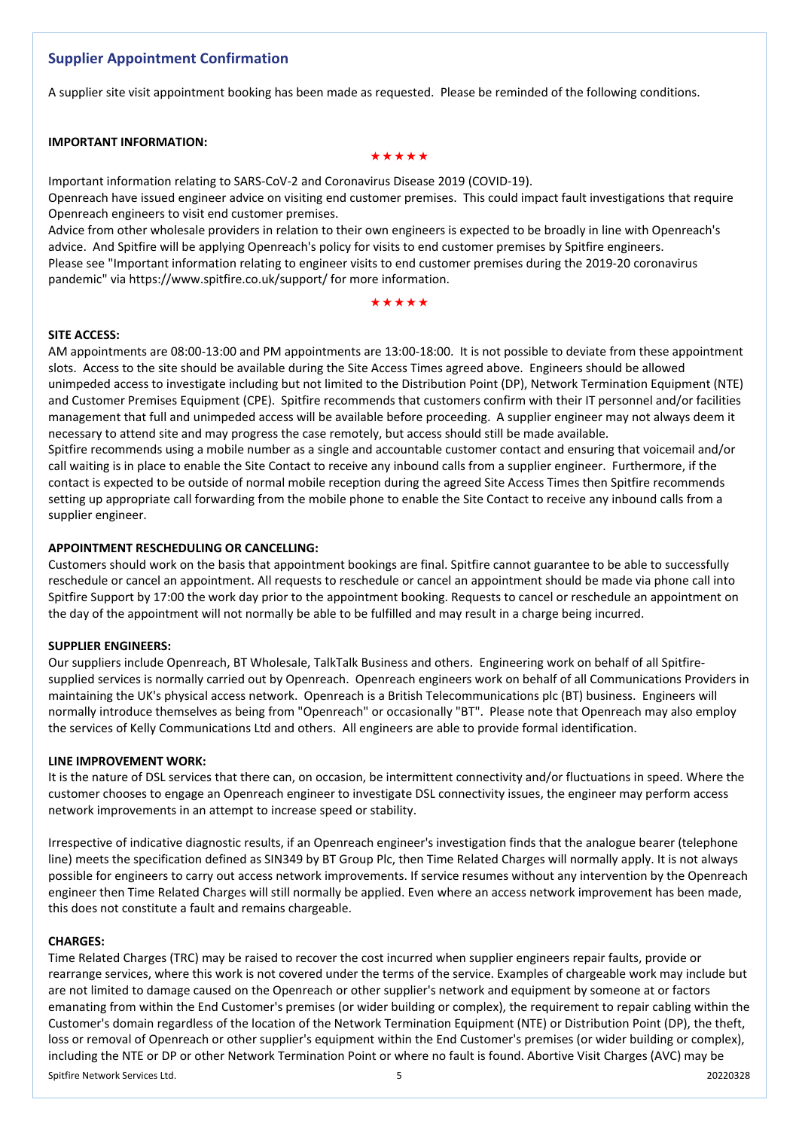# **Supplier Appointment Confirmation**

A supplier site visit appointment booking has been made as requested. Please be reminded of the following conditions.

# **IMPORTANT INFORMATION:**

#### \*\*\*\*\*

Important information relating to SARS‐CoV‐2 and Coronavirus Disease 2019 (COVID‐19).

Openreach have issued engineer advice on visiting end customer premises. This could impact fault investigations that require Openreach engineers to visit end customer premises.

Advice from other wholesale providers in relation to their own engineers is expected to be broadly in line with Openreach's advice. And Spitfire will be applying Openreach's policy for visits to end customer premises by Spitfire engineers. Please see "Important information relating to engineer visits to end customer premises during the 2019‐20 coronavirus pandemic" via https://www.spitfire.co.uk/support/ for more information.

# \*\*\*\*\*

#### **SITE ACCESS:**

AM appointments are 08:00‐13:00 and PM appointments are 13:00‐18:00. It is not possible to deviate from these appointment slots. Access to the site should be available during the Site Access Times agreed above. Engineers should be allowed unimpeded access to investigate including but not limited to the Distribution Point (DP), Network Termination Equipment (NTE) and Customer Premises Equipment (CPE). Spitfire recommends that customers confirm with their IT personnel and/or facilities management that full and unimpeded access will be available before proceeding. A supplier engineer may not always deem it necessary to attend site and may progress the case remotely, but access should still be made available. Spitfire recommends using a mobile number as a single and accountable customer contact and ensuring that voicemail and/or call waiting is in place to enable the Site Contact to receive any inbound calls from a supplier engineer. Furthermore, if the contact is expected to be outside of normal mobile reception during the agreed Site Access Times then Spitfire recommends setting up appropriate call forwarding from the mobile phone to enable the Site Contact to receive any inbound calls from a supplier engineer.

# **APPOINTMENT RESCHEDULING OR CANCELLING:**

Customers should work on the basis that appointment bookings are final. Spitfire cannot guarantee to be able to successfully reschedule or cancel an appointment. All requests to reschedule or cancel an appointment should be made via phone call into Spitfire Support by 17:00 the work day prior to the appointment booking. Requests to cancel or reschedule an appointment on the day of the appointment will not normally be able to be fulfilled and may result in a charge being incurred.

#### **SUPPLIER ENGINEERS:**

Our suppliers include Openreach, BT Wholesale, TalkTalk Business and others. Engineering work on behalf of all Spitfire‐ supplied services is normally carried out by Openreach. Openreach engineers work on behalf of all Communications Providers in maintaining the UK's physical access network. Openreach is a British Telecommunications plc (BT) business. Engineers will normally introduce themselves as being from "Openreach" or occasionally "BT". Please note that Openreach may also employ the services of Kelly Communications Ltd and others. All engineers are able to provide formal identification.

#### **LINE IMPROVEMENT WORK:**

It is the nature of DSL services that there can, on occasion, be intermittent connectivity and/or fluctuations in speed. Where the customer chooses to engage an Openreach engineer to investigate DSL connectivity issues, the engineer may perform access network improvements in an attempt to increase speed or stability.

Irrespective of indicative diagnostic results, if an Openreach engineer's investigation finds that the analogue bearer (telephone line) meets the specification defined as SIN349 by BT Group Plc, then Time Related Charges will normally apply. It is not always possible for engineers to carry out access network improvements. If service resumes without any intervention by the Openreach engineer then Time Related Charges will still normally be applied. Even where an access network improvement has been made, this does not constitute a fault and remains chargeable.

#### **CHARGES:**

Time Related Charges (TRC) may be raised to recover the cost incurred when supplier engineers repair faults, provide or rearrange services, where this work is not covered under the terms of the service. Examples of chargeable work may include but are not limited to damage caused on the Openreach or other supplier's network and equipment by someone at or factors emanating from within the End Customer's premises (or wider building or complex), the requirement to repair cabling within the Customer's domain regardless of the location of the Network Termination Equipment (NTE) or Distribution Point (DP), the theft, loss or removal of Openreach or other supplier's equipment within the End Customer's premises (or wider building or complex), including the NTE or DP or other Network Termination Point or where no fault is found. Abortive Visit Charges (AVC) may be